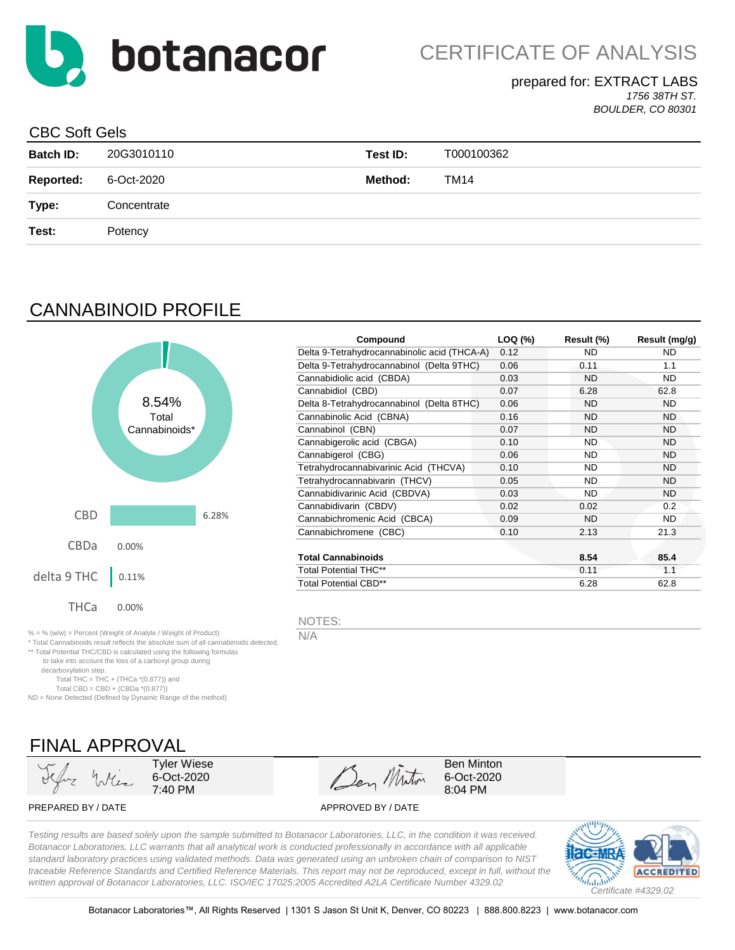

### prepared for: EXTRACT LABS

*1756 38TH ST. BOULDER, CO 80301*

### CBC Soft Gels

| <b>Batch ID:</b> | 20G3010110  | Test ID: | T000100362 |
|------------------|-------------|----------|------------|
| <b>Reported:</b> | 6-Oct-2020  | Method:  | TM14       |
| Type:            | Concentrate |          |            |
| Test:            | Potency     |          |            |

# CANNABINOID PROFILE



| Compound                                     | LOQ (%) | Result (%) | Result (mg/g) |
|----------------------------------------------|---------|------------|---------------|
| Delta 9-Tetrahydrocannabinolic acid (THCA-A) | 0.12    | ND.        | ND.           |
| Delta 9-Tetrahydrocannabinol (Delta 9THC)    | 0.06    | 0.11       | 1.1           |
| Cannabidiolic acid (CBDA)                    | 0.03    | <b>ND</b>  | ND.           |
| Cannabidiol (CBD)                            | 0.07    | 6.28       | 62.8          |
| Delta 8-Tetrahydrocannabinol (Delta 8THC)    | 0.06    | ND         | ND.           |
| Cannabinolic Acid (CBNA)                     | 0.16    | <b>ND</b>  | <b>ND</b>     |
| Cannabinol (CBN)                             | 0.07    | <b>ND</b>  | <b>ND</b>     |
| Cannabigerolic acid (CBGA)                   | 0.10    | <b>ND</b>  | <b>ND</b>     |
| Cannabigerol (CBG)                           | 0.06    | <b>ND</b>  | <b>ND</b>     |
| Tetrahydrocannabivarinic Acid (THCVA)        | 0.10    | <b>ND</b>  | <b>ND</b>     |
| Tetrahydrocannabivarin (THCV)                | 0.05    | <b>ND</b>  | <b>ND</b>     |
| Cannabidivarinic Acid (CBDVA)                | 0.03    | ND.        | ND.           |
| Cannabidivarin (CBDV)                        | 0.02    | 0.02       | 0.2           |
| Cannabichromenic Acid (CBCA)                 | 0.09    | ND         | ND.           |
| Cannabichromene (CBC)                        | 0.10    | 2.13       | 21.3          |
| <b>Total Cannabinoids</b>                    |         | 8.54       | 85.4          |
| <b>Total Potential THC**</b>                 |         | 0.11       | 1.1           |
| <b>Total Potential CBD**</b>                 |         | 6.28       | 62.8          |

NOTES:

N/A

FINAL APPROVAL Tyler Wiese

Total THC = THC + (THCa  $*(0.877)$ ) and Total CBD =  $CBD + (CBDa * (0.877))$ ND = None Detected (Defined by Dynamic Range of the method)

\* Total Cannabinoids result reflects the absolute sum of all cannabinoids detected. \*\* Total Potential THC/CBD is calculated using the following formulas to take into account the loss of a carboxyl group during

6-Oct-2020 7:40 PM

Den Minton

Ben Minton 6-Oct-2020 8:04 PM

PREPARED BY / DATE APPROVED BY / DATE

decarboxylation step.

*Testing results are based solely upon the sample submitted to Botanacor Laboratories, LLC, in the condition it was received. Botanacor Laboratories, LLC warrants that all analytical work is conducted professionally in accordance with all applicable standard laboratory practices using validated methods. Data was generated using an unbroken chain of comparison to NIST traceable Reference Standards and Certified Reference Materials. This report may not be reproduced, except in full, without the written approval of Botanacor Laboratories, LLC. ISO/IEC 17025:2005 Accredited A2LA Certificate Number 4329.02*

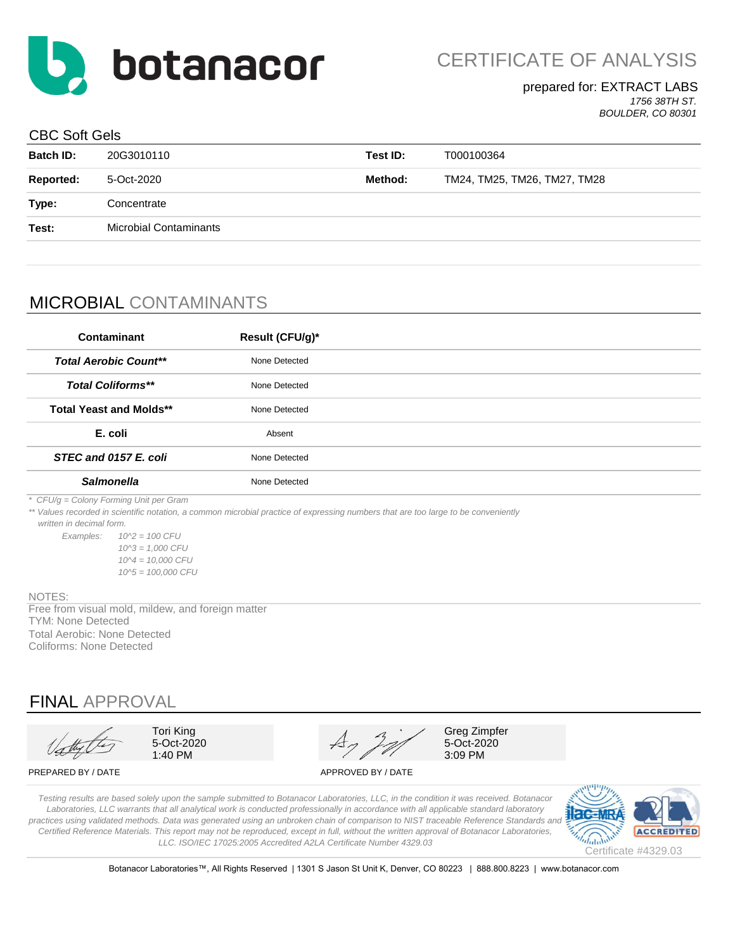

#### prepared for: EXTRACT LABS *1756 38TH ST.*

*BOULDER, CO 80301*

### CBC Soft Gels

| <b>Batch ID:</b> | 20G3010110                    | Test ID: | T000100364                   |
|------------------|-------------------------------|----------|------------------------------|
| Reported:        | 5-Oct-2020                    | Method:  | TM24, TM25, TM26, TM27, TM28 |
| Type:            | Concentrate                   |          |                              |
| Test:            | <b>Microbial Contaminants</b> |          |                              |
|                  |                               |          |                              |

## MICROBIAL CONTAMINANTS

| Contaminant                                                                                                                                                                  | Result (CFU/g)* |  |
|------------------------------------------------------------------------------------------------------------------------------------------------------------------------------|-----------------|--|
| <b>Total Aerobic Count**</b>                                                                                                                                                 | None Detected   |  |
| <b>Total Coliforms**</b>                                                                                                                                                     | None Detected   |  |
| <b>Total Yeast and Molds**</b>                                                                                                                                               | None Detected   |  |
| E. coli                                                                                                                                                                      | Absent          |  |
| STEC and 0157 E. coli                                                                                                                                                        | None Detected   |  |
| <b>Salmonella</b>                                                                                                                                                            | None Detected   |  |
| * CFU/g = Colony Forming Unit per Gram<br>** Values recorded in scientific notation, a common microbial practice of expressing numbers that are too large to be conveniently |                 |  |

*\*\* Values recorded in scientific notation, a common microbial practice of expressing numbers that are too large to be conveniently* 

 *written in decimal form.*

*Examples: 10^2 = 100 CFU 10^3 = 1,000 CFU 10^4 = 10,000 CFU 10^5 = 100,000 CFU*

#### NOTES:

TYM: None Detected Free from visual mold, mildew, and foreign matter Total Aerobic: None Detected Coliforms: None Detected

### FINAL APPROVAL

Tori King 5-Oct-2020 1:40 PM

Greg Zimpfer 5-Oct-2020 3:09 PM

PREPARED BY / DATE APPROVED BY / DATE

*Testing results are based solely upon the sample submitted to Botanacor Laboratories, LLC, in the condition it was received. Botanacor Laboratories, LLC warrants that all analytical work is conducted professionally in accordance with all applicable standard laboratory*  practices using validated methods. Data was generated using an unbroken chain of comparison to NIST traceable Reference Standards and *Certified Reference Materials. This report may not be reproduced, except in full, without the written approval of Botanacor Laboratories, LLC. ISO/IEC 17025:2005 Accredited A2LA Certificate Number 4329.03*



Botanacor Laboratories™, All Rights Reserved | 1301 S Jason St Unit K, Denver, CO 80223 | 888.800.8223 | www.botanacor.com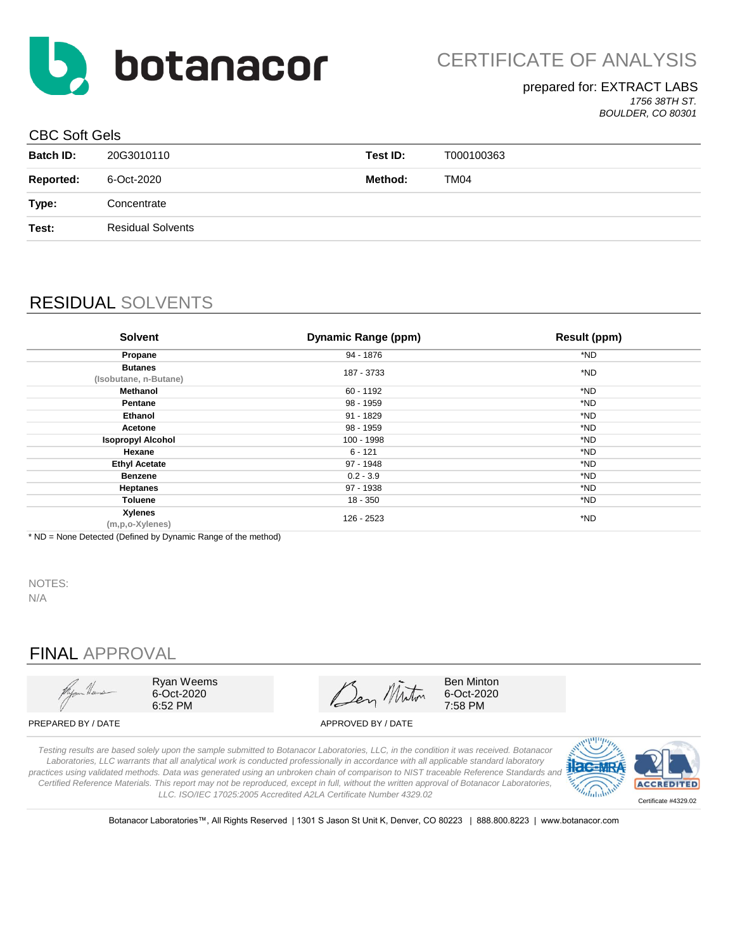

#### prepared for: EXTRACT LABS *1756 38TH ST. BOULDER, CO 80301*

#### CBC Soft Gels

| opo odkodo       |                          |          |            |
|------------------|--------------------------|----------|------------|
| <b>Batch ID:</b> | 20G3010110               | Test ID: | T000100363 |
| <b>Reported:</b> | 6-Oct-2020               | Method:  | TM04       |
| Type:            | Concentrate              |          |            |
| Test:            | <b>Residual Solvents</b> |          |            |
|                  |                          |          |            |

## RESIDUAL SOLVENTS

| <b>Solvent</b>                          | Dynamic Range (ppm) | <b>Result (ppm)</b> |
|-----------------------------------------|---------------------|---------------------|
| Propane                                 | 94 - 1876           | *ND                 |
| <b>Butanes</b><br>(Isobutane, n-Butane) | 187 - 3733          | *ND                 |
| Methanol                                | 60 - 1192           | *ND                 |
| Pentane                                 | 98 - 1959           | *ND                 |
| <b>Ethanol</b>                          | 91 - 1829           | *ND                 |
| Acetone                                 | 98 - 1959           | *ND                 |
| <b>Isopropyl Alcohol</b>                | 100 - 1998          | *ND                 |
| Hexane                                  | $6 - 121$           | *ND                 |
| <b>Ethyl Acetate</b>                    | 97 - 1948           | *ND                 |
| <b>Benzene</b>                          | $0.2 - 3.9$         | *ND                 |
| <b>Heptanes</b>                         | 97 - 1938           | *ND                 |
| Toluene                                 | 18 - 350            | *ND                 |
| Xylenes<br>(m,p,o-Xylenes)              | 126 - 2523          | *ND                 |

\* ND = None Detected (Defined by Dynamic Range of the method)

NOTES: N/A

## FINAL APPROVAL



Ryan Weems 6-Oct-2020 6:52 PM

Ben Miton

Ben Minton 6-Oct-2020 7:58 PM

PREPARED BY / DATE APPROVED BY / DATE

*Testing results are based solely upon the sample submitted to Botanacor Laboratories, LLC, in the condition it was received. Botanacor Laboratories, LLC warrants that all analytical work is conducted professionally in accordance with all applicable standard laboratory practices using validated methods. Data was generated using an unbroken chain of comparison to NIST traceable Reference Standards and Certified Reference Materials. This report may not be reproduced, except in full, without the written approval of Botanacor Laboratories, LLC. ISO/IEC 17025:2005 Accredited A2LA Certificate Number 4329.02*



Botanacor Laboratories™, All Rights Reserved | 1301 S Jason St Unit K, Denver, CO 80223 | 888.800.8223 | www.botanacor.com